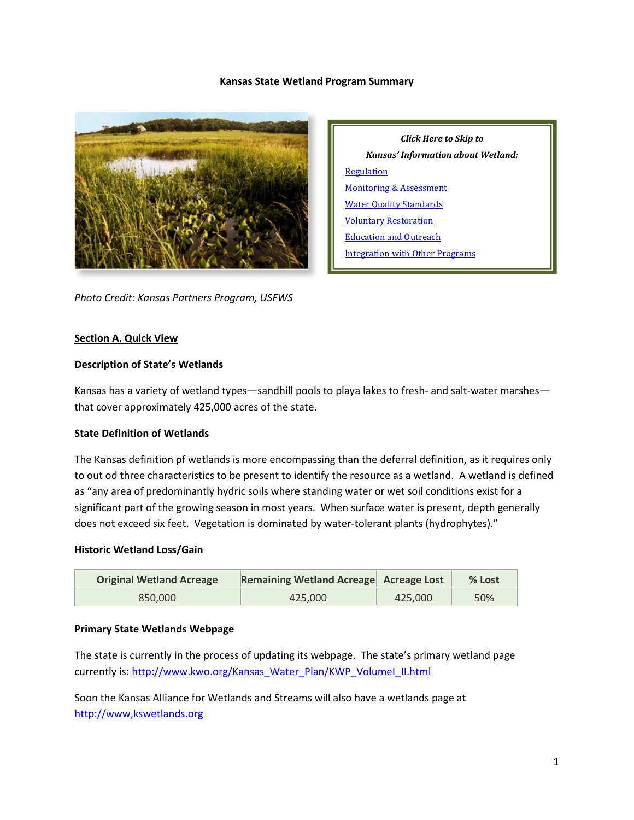#### **Kansas State Wetland Program Summary**



*Click Here to Skip to Kansas' Information about Wetland:* **[Regulation](#page-2-0)** [Monitoring & Assessment](#page-4-0) [Water Quality Standards](#page-6-0) [Voluntary Restoration](#page-7-0) [Education and Outreach](#page-8-0) [Integration with Other Programs](#page-8-1)

*Photo Credit: Kansas Partners Program, USFWS*

#### **Section A. Quick View**

#### **Description of State's Wetlands**

Kansas has a variety of wetland types—sandhill pools to playa lakes to fresh- and salt-water marshes that cover approximately 425,000 acres of the state.

### **State Definition of Wetlands**

The Kansas definition pf wetlands is more encompassing than the deferral definition, as it requires only to out od three characteristics to be present to identify the resource as a wetland. A wetland is defined as "any area of predominantly hydric soils where standing water or wet soil conditions exist for a significant part of the growing season in most years. When surface water is present, depth generally does not exceed six feet. Vegetation is dominated by water-tolerant plants (hydrophytes)."

#### **Historic Wetland Loss/Gain**

| <b>Original Wetland Acreage</b> | Remaining Wetland Acreage Acreage Lost |         | $%$ Lost |
|---------------------------------|----------------------------------------|---------|----------|
| 850,000                         | 425,000                                | 425.000 | 50%      |

### **Primary State Wetlands Webpage**

The state is currently in the process of updating its webpage. The state's primary wetland page currently is: [http://www.kwo.org/Kansas\\_Water\\_Plan/KWP\\_VolumeI\\_II.html](http://www.kwo.org/Kansas_Water_Plan/KWP_VolumeI_II.html)

Soon the Kansas Alliance for Wetlands and Streams will also have a wetlands page at [http://www,kswetlands.org](http://www,kswetlands.org/)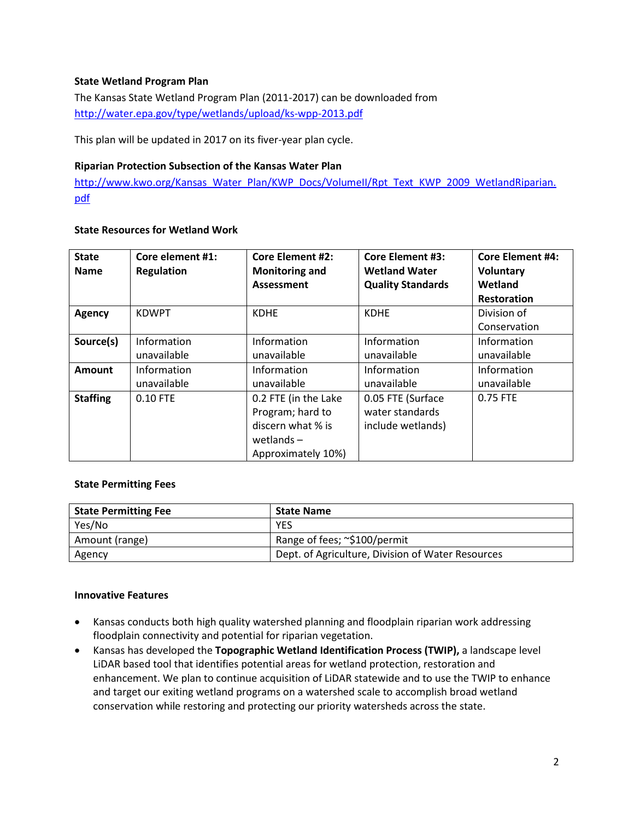## **State Wetland Program Plan**

The Kansas State Wetland Program Plan (2011-2017) can be downloaded from <http://water.epa.gov/type/wetlands/upload/ks-wpp-2013.pdf>

This plan will be updated in 2017 on its fiver-year plan cycle.

#### **Riparian Protection Subsection of the Kansas Water Plan**

[http://www.kwo.org/Kansas\\_Water\\_Plan/KWP\\_Docs/VolumeII/Rpt\\_Text\\_KWP\\_2009\\_WetlandRiparian.](http://www.kwo.org/Kansas_Water_Plan/KWP_Docs/VolumeII/Rpt_Text_KWP_2009_WetlandRiparian.pdf) [pdf](http://www.kwo.org/Kansas_Water_Plan/KWP_Docs/VolumeII/Rpt_Text_KWP_2009_WetlandRiparian.pdf)

### **State Resources for Wetland Work**

| <b>State</b><br><b>Name</b> | Core element #1:<br><b>Regulation</b> | <b>Core Element #2:</b><br><b>Monitoring and</b><br><b>Assessment</b> | <b>Core Element #3:</b><br><b>Wetland Water</b><br><b>Quality Standards</b> | <b>Core Element #4:</b><br><b>Voluntary</b><br>Wetland<br><b>Restoration</b> |
|-----------------------------|---------------------------------------|-----------------------------------------------------------------------|-----------------------------------------------------------------------------|------------------------------------------------------------------------------|
| <b>Agency</b>               | <b>KDWPT</b>                          | <b>KDHE</b>                                                           | <b>KDHE</b>                                                                 | Division of                                                                  |
|                             |                                       |                                                                       |                                                                             | Conservation                                                                 |
| Source(s)                   | Information                           | Information                                                           | Information                                                                 | Information                                                                  |
|                             | unavailable                           | unavailable                                                           | unavailable                                                                 | unavailable                                                                  |
| Amount                      | Information                           | Information                                                           | Information                                                                 | Information                                                                  |
|                             | unavailable                           | unavailable                                                           | unavailable                                                                 | unavailable                                                                  |
| <b>Staffing</b>             | 0.10 FTE                              | 0.2 FTE (in the Lake                                                  | 0.05 FTE (Surface                                                           | 0.75 FTE                                                                     |
|                             |                                       | Program; hard to                                                      | water standards                                                             |                                                                              |
|                             |                                       | discern what % is                                                     | include wetlands)                                                           |                                                                              |
|                             |                                       | wetlands $-$                                                          |                                                                             |                                                                              |
|                             |                                       | Approximately 10%)                                                    |                                                                             |                                                                              |

### **State Permitting Fees**

| <b>State Permitting Fee</b> | <b>State Name</b>                                 |
|-----------------------------|---------------------------------------------------|
| Yes/No                      | <b>YES</b>                                        |
| Amount (range)              | Range of fees; ~\$100/permit                      |
| Agency                      | Dept. of Agriculture, Division of Water Resources |

#### **Innovative Features**

- Kansas conducts both high quality watershed planning and floodplain riparian work addressing floodplain connectivity and potential for riparian vegetation.
- Kansas has developed the **Topographic Wetland Identification Process (TWIP),** a landscape level LiDAR based tool that identifies potential areas for wetland protection, restoration and enhancement. We plan to continue acquisition of LiDAR statewide and to use the TWIP to enhance and target our exiting wetland programs on a watershed scale to accomplish broad wetland conservation while restoring and protecting our priority watersheds across the state.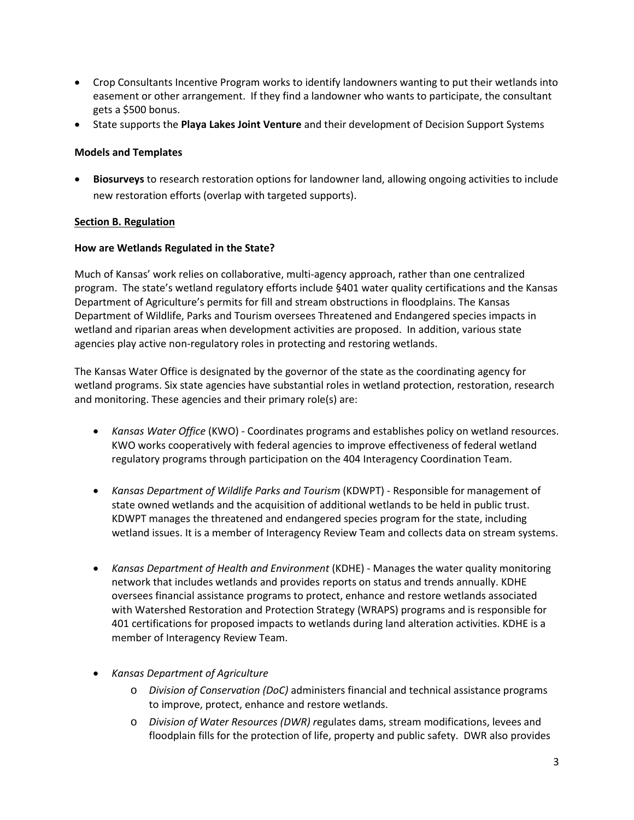- Crop Consultants Incentive Program works to identify landowners wanting to put their wetlands into easement or other arrangement. If they find a landowner who wants to participate, the consultant gets a \$500 bonus.
- State supports the **Playa Lakes Joint Venture** and their development of Decision Support Systems

### **Models and Templates**

• **Biosurveys** to research restoration options for landowner land, allowing ongoing activities to include new restoration efforts (overlap with targeted supports).

## <span id="page-2-0"></span>**Section B. Regulation**

## **How are Wetlands Regulated in the State?**

Much of Kansas' work relies on collaborative, multi-agency approach, rather than one centralized program. The state's wetland regulatory efforts include §401 water quality certifications and the Kansas Department of Agriculture's permits for fill and stream obstructions in floodplains. The Kansas Department of Wildlife, Parks and Tourism oversees Threatened and Endangered species impacts in wetland and riparian areas when development activities are proposed. In addition, various state agencies play active non-regulatory roles in protecting and restoring wetlands.

The Kansas Water Office is designated by the governor of the state as the coordinating agency for wetland programs. Six state agencies have substantial roles in wetland protection, restoration, research and monitoring. These agencies and their primary role(s) are:

- *Kansas Water Office* (KWO) Coordinates programs and establishes policy on wetland resources. KWO works cooperatively with federal agencies to improve effectiveness of federal wetland regulatory programs through participation on the 404 Interagency Coordination Team.
- *Kansas Department of Wildlife Parks and Tourism* (KDWPT) Responsible for management of state owned wetlands and the acquisition of additional wetlands to be held in public trust. KDWPT manages the threatened and endangered species program for the state, including wetland issues. It is a member of Interagency Review Team and collects data on stream systems.
- *Kansas Department of Health and Environment* (KDHE) Manages the water quality monitoring network that includes wetlands and provides reports on status and trends annually. KDHE oversees financial assistance programs to protect, enhance and restore wetlands associated with Watershed Restoration and Protection Strategy (WRAPS) programs and is responsible for 401 certifications for proposed impacts to wetlands during land alteration activities. KDHE is a member of Interagency Review Team.
- *Kansas Department of Agriculture*
	- o *Division of Conservation (DoC)* administers financial and technical assistance programs to improve, protect, enhance and restore wetlands.
	- o *Division of Water Resources (DWR) r*egulates dams, stream modifications, levees and floodplain fills for the protection of life, property and public safety. DWR also provides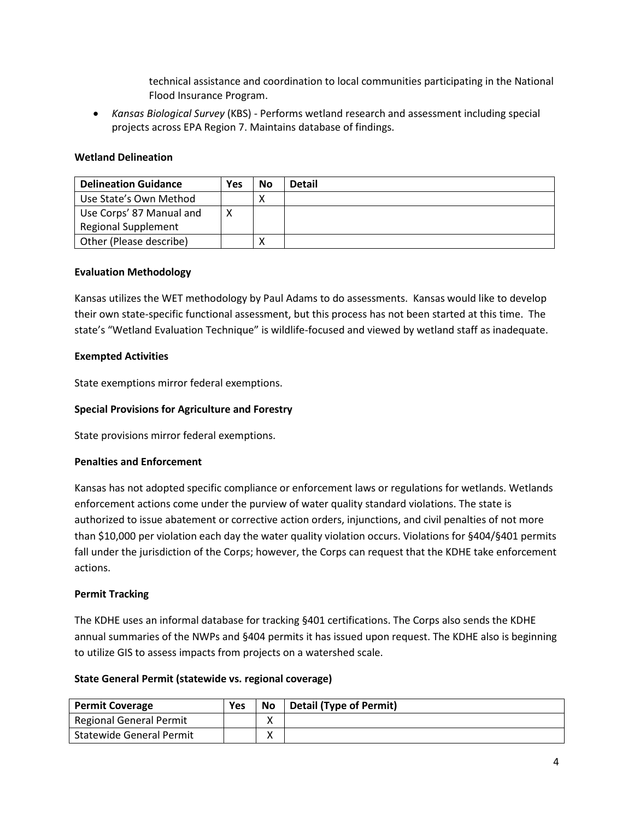technical assistance and coordination to local communities participating in the National Flood Insurance Program.

• *Kansas Biological Survey* (KBS) - Performs wetland research and assessment including special projects across EPA Region 7. Maintains database of findings.

## **Wetland Delineation**

| <b>Delineation Guidance</b> | Yes | No | <b>Detail</b> |
|-----------------------------|-----|----|---------------|
| Use State's Own Method      |     |    |               |
| Use Corps' 87 Manual and    |     |    |               |
| <b>Regional Supplement</b>  |     |    |               |
| Other (Please describe)     |     |    |               |

#### **Evaluation Methodology**

Kansas utilizes the WET methodology by Paul Adams to do assessments. Kansas would like to develop their own state-specific functional assessment, but this process has not been started at this time. The state's "Wetland Evaluation Technique" is wildlife-focused and viewed by wetland staff as inadequate.

### **Exempted Activities**

State exemptions mirror federal exemptions.

### **Special Provisions for Agriculture and Forestry**

State provisions mirror federal exemptions.

#### **Penalties and Enforcement**

Kansas has not adopted specific compliance or enforcement laws or regulations for wetlands. Wetlands enforcement actions come under the purview of water quality standard violations. The state is authorized to issue abatement or corrective action orders, injunctions, and civil penalties of not more than \$10,000 per violation each day the water quality violation occurs. Violations for §404/§401 permits fall under the jurisdiction of the Corps; however, the Corps can request that the KDHE take enforcement actions.

### **Permit Tracking**

The KDHE uses an informal database for tracking §401 certifications. The Corps also sends the KDHE annual summaries of the NWPs and §404 permits it has issued upon request. The KDHE also is beginning to utilize GIS to assess impacts from projects on a watershed scale.

#### **State General Permit (statewide vs. regional coverage)**

| <b>Permit Coverage</b>          | Yes | No          | Detail (Type of Permit) |
|---------------------------------|-----|-------------|-------------------------|
| <b>Regional General Permit</b>  |     | Λ           |                         |
| <b>Statewide General Permit</b> |     | $\check{ }$ |                         |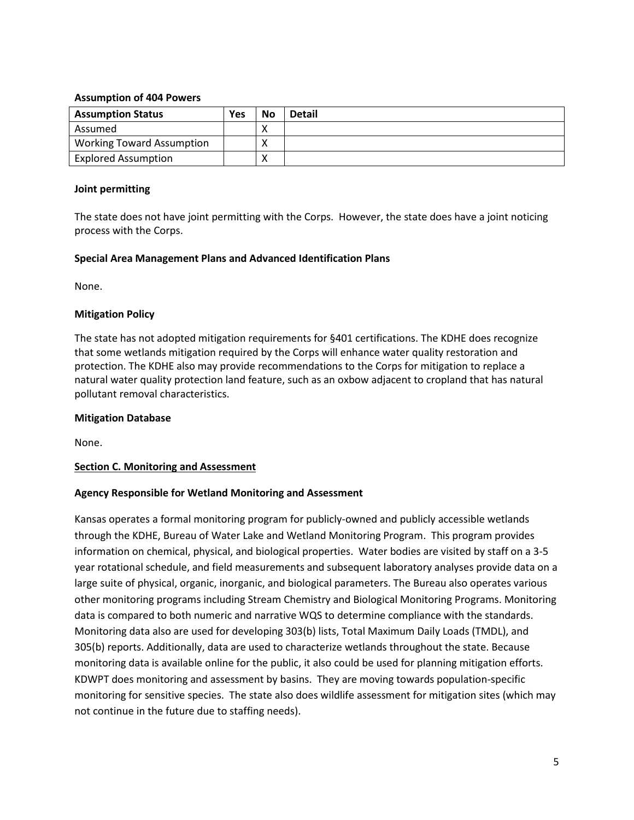### **Assumption of 404 Powers**

| <b>Assumption Status</b>         | <b>Yes</b> | <b>No</b> | <b>Detail</b> |
|----------------------------------|------------|-----------|---------------|
| Assumed                          |            |           |               |
| <b>Working Toward Assumption</b> |            |           |               |
| <b>Explored Assumption</b>       |            |           |               |

### **Joint permitting**

The state does not have joint permitting with the Corps. However, the state does have a joint noticing process with the Corps.

### **Special Area Management Plans and Advanced Identification Plans**

None.

### **Mitigation Policy**

The state has not adopted mitigation requirements for §401 certifications. The KDHE does recognize that some wetlands mitigation required by the Corps will enhance water quality restoration and protection. The KDHE also may provide recommendations to the Corps for mitigation to replace a natural water quality protection land feature, such as an oxbow adjacent to cropland that has natural pollutant removal characteristics.

### **Mitigation Database**

None.

### <span id="page-4-0"></span>**Section C. Monitoring and Assessment**

### **Agency Responsible for Wetland Monitoring and Assessment**

Kansas operates a formal monitoring program for publicly-owned and publicly accessible wetlands through the KDHE, Bureau of Water Lake and Wetland Monitoring Program. This program provides information on chemical, physical, and biological properties. Water bodies are visited by staff on a 3-5 year rotational schedule, and field measurements and subsequent laboratory analyses provide data on a large suite of physical, organic, inorganic, and biological parameters. The Bureau also operates various other monitoring programs including Stream Chemistry and Biological Monitoring Programs. Monitoring data is compared to both numeric and narrative WQS to determine compliance with the standards. Monitoring data also are used for developing 303(b) lists, Total Maximum Daily Loads (TMDL), and 305(b) reports. Additionally, data are used to characterize wetlands throughout the state. Because monitoring data is available online for the public, it also could be used for planning mitigation efforts. KDWPT does monitoring and assessment by basins. They are moving towards population-specific monitoring for sensitive species. The state also does wildlife assessment for mitigation sites (which may not continue in the future due to staffing needs).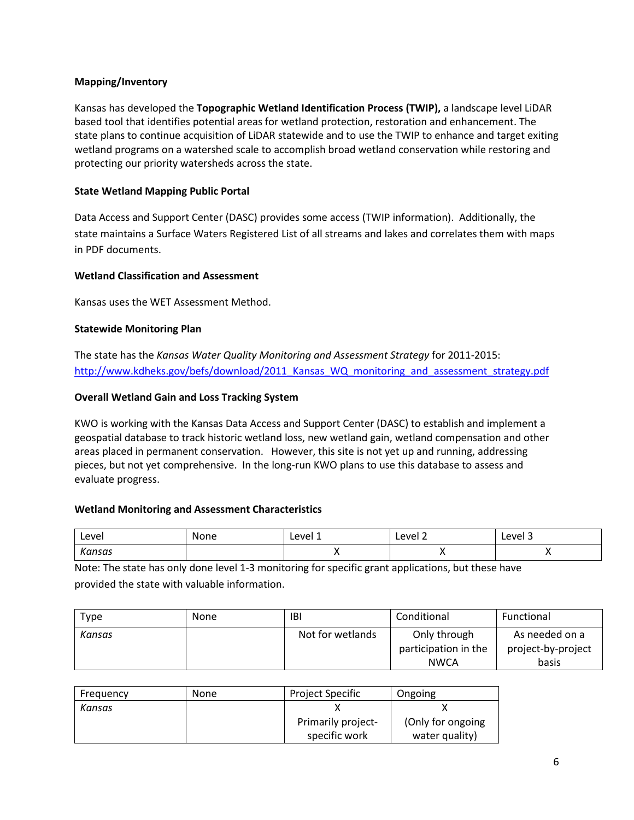## **Mapping/Inventory**

Kansas has developed the **Topographic Wetland Identification Process (TWIP),** a landscape level LiDAR based tool that identifies potential areas for wetland protection, restoration and enhancement. The state plans to continue acquisition of LiDAR statewide and to use the TWIP to enhance and target exiting wetland programs on a watershed scale to accomplish broad wetland conservation while restoring and protecting our priority watersheds across the state.

## **State Wetland Mapping Public Portal**

Data Access and Support Center (DASC) provides some access (TWIP information). Additionally, the state maintains a Surface Waters Registered List of all streams and lakes and correlates them with maps in PDF documents.

## **Wetland Classification and Assessment**

Kansas uses the WET Assessment Method.

## **Statewide Monitoring Plan**

The state has the *Kansas Water Quality Monitoring and Assessment Strategy* for 2011-2015: http://www.kdheks.gov/befs/download/2011 Kansas WQ monitoring and assessment strategy.pdf

## **Overall Wetland Gain and Loss Tracking System**

KWO is working with the Kansas Data Access and Support Center (DASC) to establish and implement a geospatial database to track historic wetland loss, new wetland gain, wetland compensation and other areas placed in permanent conservation. However, this site is not yet up and running, addressing pieces, but not yet comprehensive. In the long-run KWO plans to use this database to assess and evaluate progress.

### **Wetland Monitoring and Assessment Characteristics**

| Level       | None | ∟evel 1 | Level 2  | Level 3 |
|-------------|------|---------|----------|---------|
| Kansas<br>. |      |         | $\cdots$ |         |

Note: The state has only done level 1-3 monitoring for specific grant applications, but these have provided the state with valuable information.

| Type   | <b>None</b> | IBI              | Conditional                                         | Functional                                    |
|--------|-------------|------------------|-----------------------------------------------------|-----------------------------------------------|
| Kansas |             | Not for wetlands | Only through<br>participation in the<br><b>NWCA</b> | As needed on a<br>project-by-project<br>basis |

| Frequency | None | <b>Project Specific</b> | Ongoing            |
|-----------|------|-------------------------|--------------------|
| Kansas    |      |                         |                    |
|           |      | Primarily project-      | (Only for ongoing) |
|           |      | specific work           | water quality)     |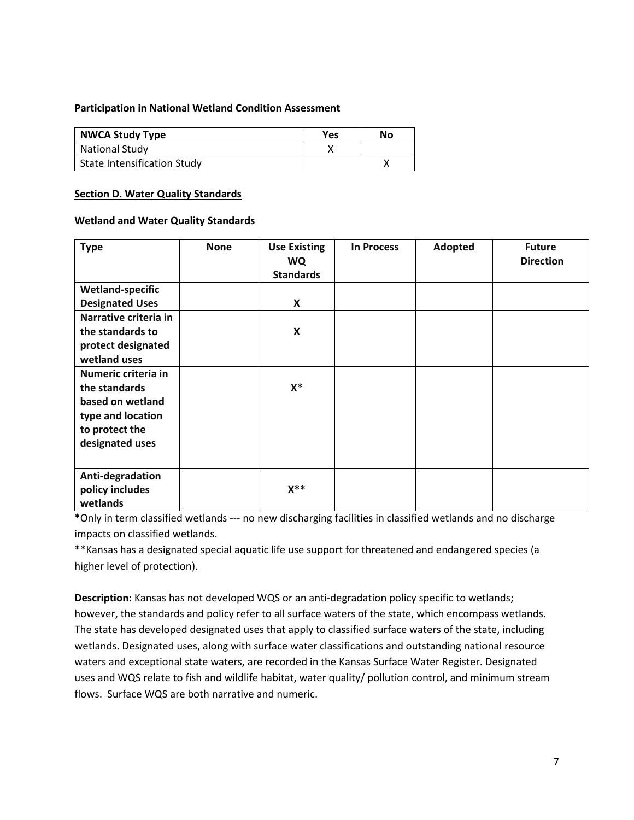### **Participation in National Wetland Condition Assessment**

| <b>NWCA Study Type</b>      | <b>Yes</b> | No |
|-----------------------------|------------|----|
| National Study              |            |    |
| State Intensification Study |            |    |

#### <span id="page-6-0"></span>**Section D. Water Quality Standards**

#### **Wetland and Water Quality Standards**

| <b>Type</b>             | <b>None</b> | <b>Use Existing</b><br><b>WQ</b><br><b>Standards</b> | <b>In Process</b> | Adopted | <b>Future</b><br><b>Direction</b> |
|-------------------------|-------------|------------------------------------------------------|-------------------|---------|-----------------------------------|
| <b>Wetland-specific</b> |             |                                                      |                   |         |                                   |
| <b>Designated Uses</b>  |             | X                                                    |                   |         |                                   |
| Narrative criteria in   |             |                                                      |                   |         |                                   |
| the standards to        |             | $\pmb{\mathsf{X}}$                                   |                   |         |                                   |
| protect designated      |             |                                                      |                   |         |                                   |
| wetland uses            |             |                                                      |                   |         |                                   |
| Numeric criteria in     |             |                                                      |                   |         |                                   |
| the standards           |             | $X^*$                                                |                   |         |                                   |
| based on wetland        |             |                                                      |                   |         |                                   |
| type and location       |             |                                                      |                   |         |                                   |
| to protect the          |             |                                                      |                   |         |                                   |
| designated uses         |             |                                                      |                   |         |                                   |
|                         |             |                                                      |                   |         |                                   |
| Anti-degradation        |             |                                                      |                   |         |                                   |
| policy includes         |             | $X^{\ast\ast}$                                       |                   |         |                                   |
| wetlands                |             |                                                      |                   |         |                                   |

\*Only in term classified wetlands --- no new discharging facilities in classified wetlands and no discharge impacts on classified wetlands.

\*\*Kansas has a designated special aquatic life use support for threatened and endangered species (a higher level of protection).

**Description:** Kansas has not developed WQS or an anti-degradation policy specific to wetlands; however, the standards and policy refer to all surface waters of the state, which encompass wetlands. The state has developed designated uses that apply to classified surface waters of the state, including wetlands. Designated uses, along with surface water classifications and outstanding national resource waters and exceptional state waters, are recorded in the Kansas Surface Water Register. Designated uses and WQS relate to fish and wildlife habitat, water quality/ pollution control, and minimum stream flows. Surface WQS are both narrative and numeric.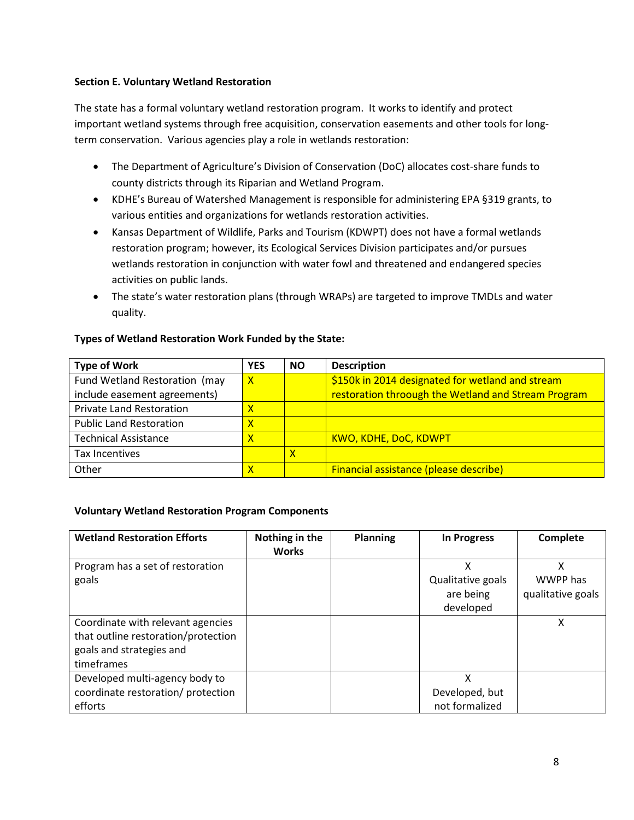## <span id="page-7-0"></span>**Section E. Voluntary Wetland Restoration**

The state has a formal voluntary wetland restoration program. It works to identify and protect important wetland systems through free acquisition, conservation easements and other tools for longterm conservation. Various agencies play a role in wetlands restoration:

- The Department of Agriculture's Division of Conservation (DoC) allocates cost-share funds to county districts through its Riparian and Wetland Program.
- KDHE's Bureau of Watershed Management is responsible for administering EPA §319 grants, to various entities and organizations for wetlands restoration activities.
- Kansas Department of Wildlife, Parks and Tourism (KDWPT) does not have a formal wetlands restoration program; however, its Ecological Services Division participates and/or pursues wetlands restoration in conjunction with water fowl and threatened and endangered species activities on public lands.
- The state's water restoration plans (through WRAPs) are targeted to improve TMDLs and water quality.

#### **Type of Work YES NO Description** Fund Wetland Restoration (may include easement agreements)  $\overline{X}$  |  $\overline{S}$  150k in 2014 designated for wetland and stream restoration throough the Wetland and Stream Program Private Land Restoration **X** Public Land Restoration **X** Technical Assistance **X** X | KWO, KDHE, DoC, KDWPT Tax Incentives X and N and N and N and N and N and N and N and N and N and N and N and N and N and N and N and N Other **Financial assistance (please describe) X Financial assistance (please describe)**

## **Types of Wetland Restoration Work Funded by the State:**

### **Voluntary Wetland Restoration Program Components**

| <b>Wetland Restoration Efforts</b>                                                                                 | Nothing in the<br><b>Works</b> | <b>Planning</b> | <b>In Progress</b>                               | Complete                           |
|--------------------------------------------------------------------------------------------------------------------|--------------------------------|-----------------|--------------------------------------------------|------------------------------------|
| Program has a set of restoration<br>goals                                                                          |                                |                 | X<br>Qualitative goals<br>are being<br>developed | Χ<br>WWPP has<br>qualitative goals |
| Coordinate with relevant agencies<br>that outline restoration/protection<br>goals and strategies and<br>timeframes |                                |                 |                                                  | χ                                  |
| Developed multi-agency body to<br>coordinate restoration/ protection<br>efforts                                    |                                |                 | x<br>Developed, but<br>not formalized            |                                    |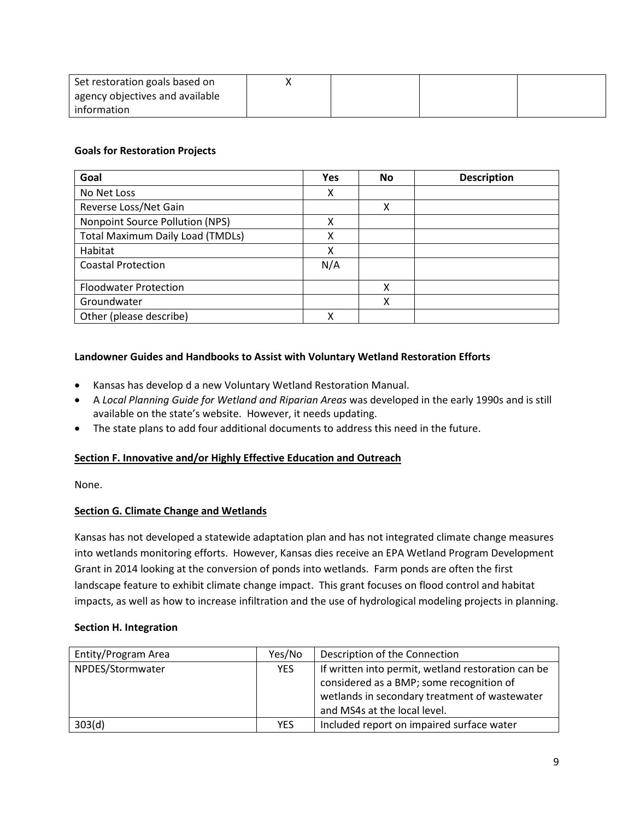| Set restoration goals based on  |  |  |
|---------------------------------|--|--|
| agency objectives and available |  |  |
| information                     |  |  |

### **Goals for Restoration Projects**

| Goal                                    | <b>Yes</b> | No | <b>Description</b> |
|-----------------------------------------|------------|----|--------------------|
| No Net Loss                             | x          |    |                    |
| Reverse Loss/Net Gain                   |            | X  |                    |
| Nonpoint Source Pollution (NPS)         | x          |    |                    |
| <b>Total Maximum Daily Load (TMDLs)</b> | χ          |    |                    |
| Habitat                                 | x          |    |                    |
| <b>Coastal Protection</b>               | N/A        |    |                    |
| <b>Floodwater Protection</b>            |            | χ  |                    |
| Groundwater                             |            | χ  |                    |
| Other (please describe)                 | χ          |    |                    |

## **Landowner Guides and Handbooks to Assist with Voluntary Wetland Restoration Efforts**

- Kansas has develop d a new Voluntary Wetland Restoration Manual.
- A *Local Planning Guide for Wetland and Riparian Areas* was developed in the early 1990s and is still available on the state's website. However, it needs updating.
- The state plans to add four additional documents to address this need in the future.

### <span id="page-8-0"></span>**Section F. Innovative and/or Highly Effective Education and Outreach**

None.

## **Section G. Climate Change and Wetlands**

Kansas has not developed a statewide adaptation plan and has not integrated climate change measures into wetlands monitoring efforts. However, Kansas dies receive an EPA Wetland Program Development Grant in 2014 looking at the conversion of ponds into wetlands. Farm ponds are often the first landscape feature to exhibit climate change impact. This grant focuses on flood control and habitat impacts, as well as how to increase infiltration and the use of hydrological modeling projects in planning.

### <span id="page-8-1"></span>**Section H. Integration**

| Entity/Program Area | Yes/No     | Description of the Connection                      |
|---------------------|------------|----------------------------------------------------|
| NPDES/Stormwater    | <b>YES</b> | If written into permit, wetland restoration can be |
|                     |            | considered as a BMP; some recognition of           |
|                     |            | wetlands in secondary treatment of wastewater      |
|                     |            | and MS4s at the local level.                       |
| 303(d)              | <b>YES</b> | Included report on impaired surface water          |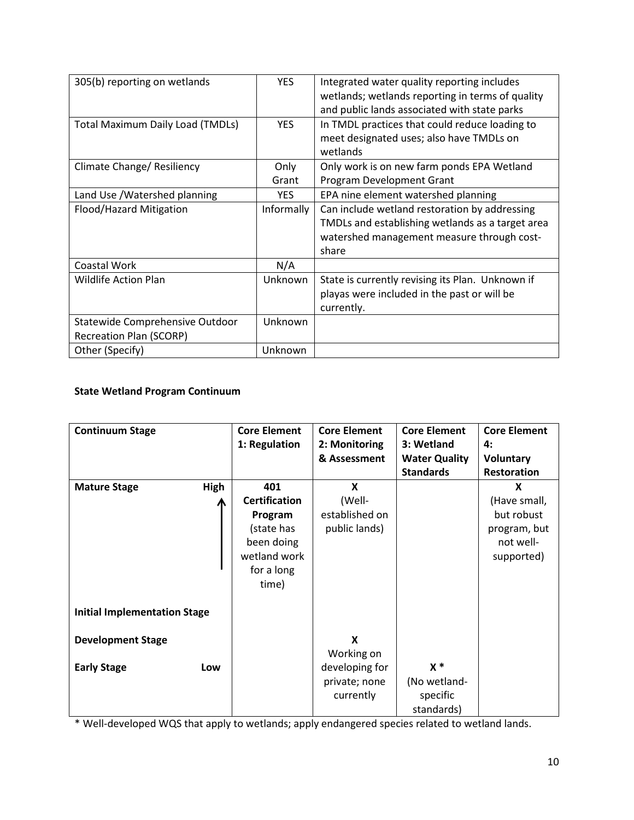| 305(b) reporting on wetlands            | <b>YES</b> | Integrated water quality reporting includes<br>wetlands; wetlands reporting in terms of quality<br>and public lands associated with state parks          |
|-----------------------------------------|------------|----------------------------------------------------------------------------------------------------------------------------------------------------------|
| <b>Total Maximum Daily Load (TMDLs)</b> | <b>YES</b> | In TMDL practices that could reduce loading to<br>meet designated uses; also have TMDLs on<br>wetlands                                                   |
| Climate Change/ Resiliency              | Only       | Only work is on new farm ponds EPA Wetland                                                                                                               |
|                                         | Grant      | Program Development Grant                                                                                                                                |
| Land Use /Watershed planning            | <b>YES</b> | EPA nine element watershed planning                                                                                                                      |
| Flood/Hazard Mitigation                 | Informally | Can include wetland restoration by addressing<br>TMDLs and establishing wetlands as a target area<br>watershed management measure through cost-<br>share |
| Coastal Work                            | N/A        |                                                                                                                                                          |
| <b>Wildlife Action Plan</b>             | Unknown    | State is currently revising its Plan. Unknown if<br>playas were included in the past or will be<br>currently.                                            |
| Statewide Comprehensive Outdoor         | Unknown    |                                                                                                                                                          |
| <b>Recreation Plan (SCORP)</b>          |            |                                                                                                                                                          |
| Other (Specify)                         | Unknown    |                                                                                                                                                          |

# **State Wetland Program Continuum**

| <b>Continuum Stage</b>                                | <b>Core Element</b><br>1: Regulation                                                                      | <b>Core Element</b><br>2: Monitoring<br>& Assessment            | <b>Core Element</b><br>3: Wetland<br><b>Water Quality</b><br><b>Standards</b> | <b>Core Element</b><br>4:<br><b>Voluntary</b><br><b>Restoration</b>        |
|-------------------------------------------------------|-----------------------------------------------------------------------------------------------------------|-----------------------------------------------------------------|-------------------------------------------------------------------------------|----------------------------------------------------------------------------|
| <b>Mature Stage</b><br>High                           | 401<br><b>Certification</b><br>Program<br>(state has<br>been doing<br>wetland work<br>for a long<br>time) | X<br>(Well-<br>established on<br>public lands)                  |                                                                               | X<br>(Have small,<br>but robust<br>program, but<br>not well-<br>supported) |
| <b>Initial Implementation Stage</b>                   |                                                                                                           |                                                                 |                                                                               |                                                                            |
| <b>Development Stage</b><br><b>Early Stage</b><br>Low |                                                                                                           | X<br>Working on<br>developing for<br>private; none<br>currently | $x *$<br>(No wetland-<br>specific<br>standards)                               |                                                                            |

\* Well-developed WQS that apply to wetlands; apply endangered species related to wetland lands.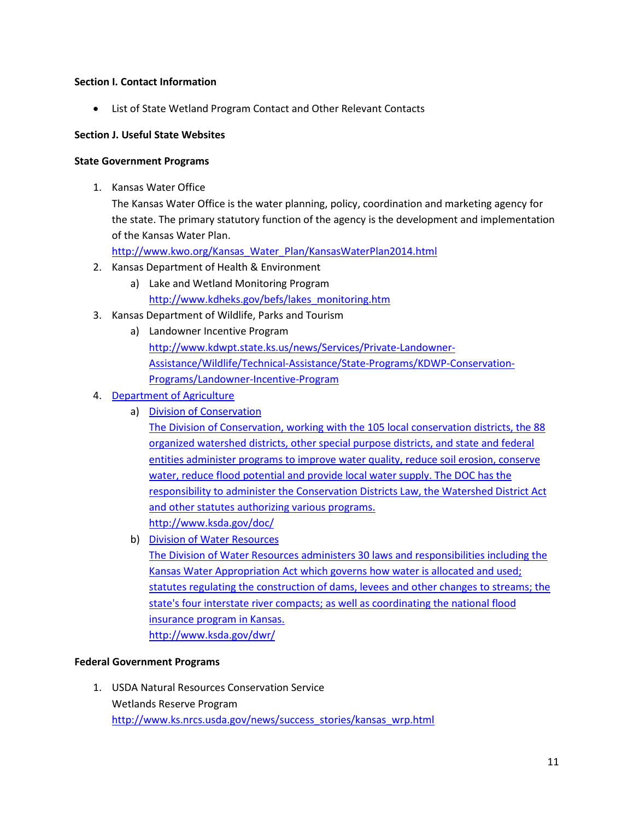### **Section I. Contact Information**

• List of State Wetland Program Contact and Other Relevant Contacts

### **Section J. Useful State Websites**

### **State Government Programs**

1. Kansas Water Office

The Kansas Water Office is the water planning, policy, coordination and marketing agency for the state. The primary statutory function of the agency is the development and implementation of the Kansas Water Plan.

[http://www.kwo.org/Kansas\\_Water\\_Plan/KansasWaterPlan2014.html](http://www.kwo.org/Kansas_Water_Plan/KansasWaterPlan2014.html)

- 2. Kansas Department of Health & Environment
	- a) Lake and Wetland Monitoring Program [http://www.kdheks.gov/befs/lakes\\_monitoring.htm](http://www.kdheks.gov/befs/lakes_monitoring.htm)
- 3. Kansas Department of Wildlife, Parks and Tourism
	- a) Landowner Incentive Program [http://www.kdwpt.state.ks.us/news/Services/Private-Landowner-](http://www.kdwpt.state.ks.us/news/Services/Private-Landowner-Assistance/Wildlife/Technical-Assistance/State-Programs/KDWP-Conservation-Programs/Landowner-Incentive-Program)[Assistance/Wildlife/Technical-Assistance/State-Programs/KDWP-Conservation-](http://www.kdwpt.state.ks.us/news/Services/Private-Landowner-Assistance/Wildlife/Technical-Assistance/State-Programs/KDWP-Conservation-Programs/Landowner-Incentive-Program)[Programs/Landowner-Incentive-Program](http://www.kdwpt.state.ks.us/news/Services/Private-Landowner-Assistance/Wildlife/Technical-Assistance/State-Programs/KDWP-Conservation-Programs/Landowner-Incentive-Program)
- 4. Department of Agriculture
	- a) Division of Conservation

The Division of Conservation, working with the 105 local conservation districts, the 88 organized watershed districts, other special purpose districts, and state and federal entities administer programs to improve water quality, reduce soil erosion, conserve water, reduce flood potential and provide local water supply. The DOC has the responsibility to administer the Conservation Districts Law, the Watershed District Act and other statutes authorizing various programs. <http://www.ksda.gov/doc/>

b) Division of Water Resources

The Division of Water Resources administers 30 laws and responsibilities including the Kansas Water Appropriation Act which governs how water is allocated and used; statutes regulating the construction of dams, levees and other changes to streams; the state's four interstate river compacts; as well as coordinating the national flood insurance program in Kansas. <http://www.ksda.gov/dwr/>

### **Federal Government Programs**

1. USDA Natural Resources Conservation Service Wetlands Reserve Program [http://www.ks.nrcs.usda.gov/news/success\\_stories/kansas\\_wrp.html](http://www.ks.nrcs.usda.gov/news/success_stories/kansas_wrp.html)